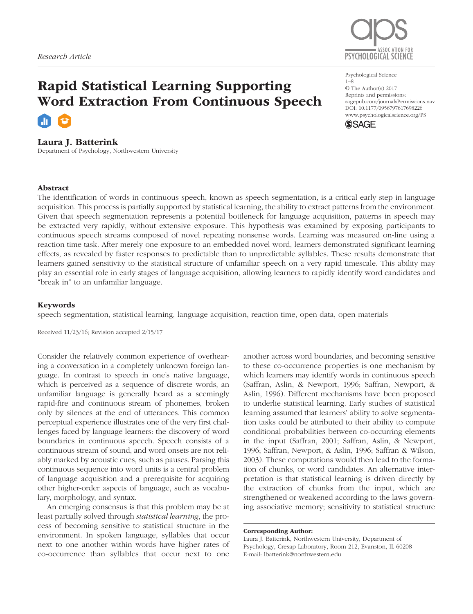# Rapid Statistical Learning Supporting Word Extraction From Continuous Speech

# Laura J. Batterink

Department of Psychology, Northwestern University



Psychological Science 1–8 © The Author(s) 2017 Reprints and permissions: [sagepub.com/journalsPermissions.nav](http://sagepub.com/journalsPermissions.nav) https://doi.org/10.1177/0956797617698226 DOI: 10.1177/0956797617698226 [www.psychologicalscience.org/PS](http://www.psychologicalscience.org/ps) **SSAGE** 

### Abstract

The identification of words in continuous speech, known as speech segmentation, is a critical early step in language acquisition. This process is partially supported by statistical learning, the ability to extract patterns from the environment. Given that speech segmentation represents a potential bottleneck for language acquisition, patterns in speech may be extracted very rapidly, without extensive exposure. This hypothesis was examined by exposing participants to continuous speech streams composed of novel repeating nonsense words. Learning was measured on-line using a reaction time task. After merely one exposure to an embedded novel word, learners demonstrated significant learning effects, as revealed by faster responses to predictable than to unpredictable syllables. These results demonstrate that learners gained sensitivity to the statistical structure of unfamiliar speech on a very rapid timescale. This ability may play an essential role in early stages of language acquisition, allowing learners to rapidly identify word candidates and "break in" to an unfamiliar language.

#### Keywords

speech segmentation, statistical learning, language acquisition, reaction time, open data, open materials

Received 11/23/16; Revision accepted 2/15/17

Consider the relatively common experience of overhearing a conversation in a completely unknown foreign language. In contrast to speech in one's native language, which is perceived as a sequence of discrete words, an unfamiliar language is generally heard as a seemingly rapid-fire and continuous stream of phonemes, broken only by silences at the end of utterances. This common perceptual experience illustrates one of the very first challenges faced by language learners: the discovery of word boundaries in continuous speech. Speech consists of a continuous stream of sound, and word onsets are not reliably marked by acoustic cues, such as pauses. Parsing this continuous sequence into word units is a central problem of language acquisition and a prerequisite for acquiring other higher-order aspects of language, such as vocabulary, morphology, and syntax.

An emerging consensus is that this problem may be at least partially solved through *statistical learning*, the process of becoming sensitive to statistical structure in the environment. In spoken language, syllables that occur next to one another within words have higher rates of co-occurrence than syllables that occur next to one

another across word boundaries, and becoming sensitive to these co-occurrence properties is one mechanism by which learners may identify words in continuous speech (Saffran, Aslin, & Newport, 1996; Saffran, Newport, & Aslin, 1996). Different mechanisms have been proposed to underlie statistical learning. Early studies of statistical learning assumed that learners' ability to solve segmentation tasks could be attributed to their ability to compute conditional probabilities between co-occurring elements in the input (Saffran, 2001; Saffran, Aslin, & Newport, 1996; Saffran, Newport, & Aslin, 1996; Saffran & Wilson, 2003). These computations would then lead to the formation of chunks, or word candidates. An alternative interpretation is that statistical learning is driven directly by the extraction of chunks from the input, which are strengthened or weakened according to the laws governing associative memory; sensitivity to statistical structure

Corresponding Author:

Laura J. Batterink, Northwestern University, Department of Psychology, Cresap Laboratory, Room 212, Evanston, IL 60208 E-mail: lbatterink@northwestern.edu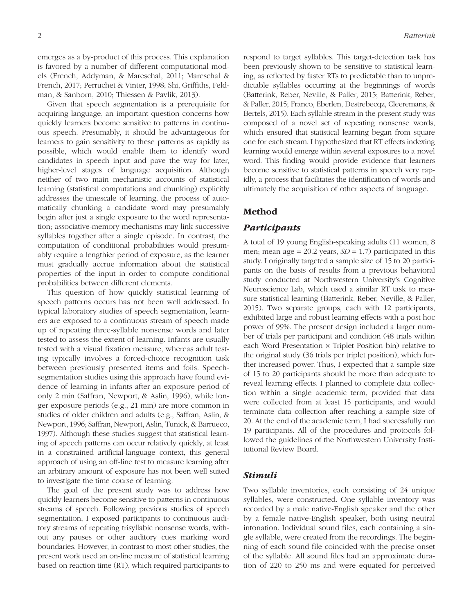emerges as a by-product of this process. This explanation is favored by a number of different computational models (French, Addyman, & Mareschal, 2011; Mareschal & French, 2017; Perruchet & Vinter, 1998; Shi, Griffiths, Feldman, & Sanborn, 2010; Thiessen & Pavlik, 2013).

Given that speech segmentation is a prerequisite for acquiring language, an important question concerns how quickly learners become sensitive to patterns in continuous speech. Presumably, it should be advantageous for learners to gain sensitivity to these patterns as rapidly as possible, which would enable them to identify word candidates in speech input and pave the way for later, higher-level stages of language acquisition. Although neither of two main mechanistic accounts of statistical learning (statistical computations and chunking) explicitly addresses the timescale of learning, the process of automatically chunking a candidate word may presumably begin after just a single exposure to the word representation; associative-memory mechanisms may link successive syllables together after a single episode. In contrast, the computation of conditional probabilities would presumably require a lengthier period of exposure, as the learner must gradually accrue information about the statistical properties of the input in order to compute conditional probabilities between different elements.

This question of how quickly statistical learning of speech patterns occurs has not been well addressed. In typical laboratory studies of speech segmentation, learners are exposed to a continuous stream of speech made up of repeating three-syllable nonsense words and later tested to assess the extent of learning. Infants are usually tested with a visual fixation measure, whereas adult testing typically involves a forced-choice recognition task between previously presented items and foils. Speechsegmentation studies using this approach have found evidence of learning in infants after an exposure period of only 2 min (Saffran, Newport, & Aslin, 1996), while longer exposure periods (e.g., 21 min) are more common in studies of older children and adults (e.g., Saffran, Aslin, & Newport, 1996; Saffran, Newport, Aslin, Tunick, & Barrueco, 1997). Although these studies suggest that statistical learning of speech patterns can occur relatively quickly, at least in a constrained artificial-language context, this general approach of using an off-line test to measure learning after an arbitrary amount of exposure has not been well suited to investigate the time course of learning.

The goal of the present study was to address how quickly learners become sensitive to patterns in continuous streams of speech. Following previous studies of speech segmentation, I exposed participants to continuous auditory streams of repeating trisyllabic nonsense words, without any pauses or other auditory cues marking word boundaries. However, in contrast to most other studies, the present work used an on-line measure of statistical learning based on reaction time (RT), which required participants to respond to target syllables. This target-detection task has been previously shown to be sensitive to statistical learning, as reflected by faster RTs to predictable than to unpredictable syllables occurring at the beginnings of words (Batterink, Reber, Neville, & Paller, 2015; Batterink, Reber, & Paller, 2015; Franco, Eberlen, Destrebecqz, Cleeremans, & Bertels, 2015). Each syllable stream in the present study was composed of a novel set of repeating nonsense words, which ensured that statistical learning began from square one for each stream. I hypothesized that RT effects indexing learning would emerge within several exposures to a novel word. This finding would provide evidence that learners become sensitive to statistical patterns in speech very rapidly, a process that facilitates the identification of words and ultimately the acquisition of other aspects of language.

# Method

## *Participants*

A total of 19 young English-speaking adults (11 women, 8 men; mean age = 20.2 years, *SD* = 1.7) participated in this study. I originally targeted a sample size of 15 to 20 participants on the basis of results from a previous behavioral study conducted at Northwestern University's Cognitive Neuroscience Lab, which used a similar RT task to measure statistical learning (Batterink, Reber, Neville, & Paller, 2015). Two separate groups, each with 12 participants, exhibited large and robust learning effects with a post hoc power of 99%. The present design included a larger number of trials per participant and condition (48 trials within each Word Presentation × Triplet Position bin) relative to the original study (36 trials per triplet position), which further increased power. Thus, I expected that a sample size of 15 to 20 participants should be more than adequate to reveal learning effects. I planned to complete data collection within a single academic term, provided that data were collected from at least 15 participants, and would terminate data collection after reaching a sample size of 20. At the end of the academic term, I had successfully run 19 participants. All of the procedures and protocols followed the guidelines of the Northwestern University Institutional Review Board.

# *Stimuli*

Two syllable inventories, each consisting of 24 unique syllables, were constructed. One syllable inventory was recorded by a male native-English speaker and the other by a female native-English speaker, both using neutral intonation. Individual sound files, each containing a single syllable, were created from the recordings. The beginning of each sound file coincided with the precise onset of the syllable. All sound files had an approximate duration of 220 to 250 ms and were equated for perceived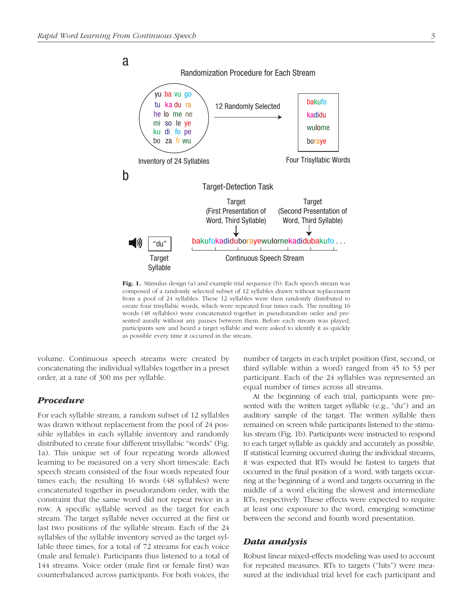

Fig. 1. Stimulus design (a) and example trial sequence (b). Each speech stream was composed of a randomly selected subset of 12 syllables drawn without replacement from a pool of 24 syllables. These 12 syllables were then randomly distributed to create four trisyllabic words, which were repeated four times each. The resulting 16 words (48 syllables) were concatenated together in pseudorandom order and presented aurally without any pauses between them. Before each stream was played, participants saw and heard a target syllable and were asked to identify it as quickly as possible every time it occurred in the stream.

volume. Continuous speech streams were created by concatenating the individual syllables together in a preset order, at a rate of 300 ms per syllable.

# *Procedure*

For each syllable stream, a random subset of 12 syllables was drawn without replacement from the pool of 24 possible syllables in each syllable inventory and randomly distributed to create four different trisyllabic "words" (Fig. 1a). This unique set of four repeating words allowed learning to be measured on a very short timescale. Each speech stream consisted of the four words repeated four times each; the resulting 16 words (48 syllables) were concatenated together in pseudorandom order, with the constraint that the same word did not repeat twice in a row. A specific syllable served as the target for each stream. The target syllable never occurred at the first or last two positions of the syllable stream. Each of the 24 syllables of the syllable inventory served as the target syllable three times, for a total of 72 streams for each voice (male and female). Participants thus listened to a total of 144 streams. Voice order (male first or female first) was counterbalanced across participants. For both voices, the number of targets in each triplet position (first, second, or third syllable within a word) ranged from 45 to 53 per participant. Each of the 24 syllables was represented an equal number of times across all streams.

At the beginning of each trial, participants were presented with the written target syllable (e.g., "du") and an auditory sample of the target. The written syllable then remained on screen while participants listened to the stimulus stream (Fig. 1b). Participants were instructed to respond to each target syllable as quickly and accurately as possible. If statistical learning occurred during the individual streams, it was expected that RTs would be fastest to targets that occurred in the final position of a word, with targets occurring at the beginning of a word and targets occurring in the middle of a word eliciting the slowest and intermediate RTs, respectively. These effects were expected to require at least one exposure to the word, emerging sometime between the second and fourth word presentation.

## *Data analysis*

Robust linear mixed-effects modeling was used to account for repeated measures. RTs to targets ("hits") were measured at the individual trial level for each participant and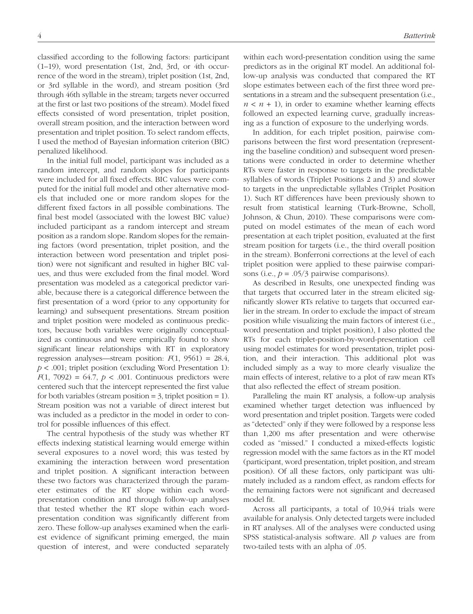classified according to the following factors: participant (1–19), word presentation (1st, 2nd, 3rd, or 4th occurrence of the word in the stream), triplet position (1st, 2nd, or 3rd syllable in the word), and stream position (3rd through 46th syllable in the stream; targets never occurred at the first or last two positions of the stream). Model fixed effects consisted of word presentation, triplet position, overall stream position, and the interaction between word presentation and triplet position. To select random effects, I used the method of Bayesian information criterion (BIC) penalized likelihood.

In the initial full model, participant was included as a random intercept, and random slopes for participants were included for all fixed effects. BIC values were computed for the initial full model and other alternative models that included one or more random slopes for the different fixed factors in all possible combinations. The final best model (associated with the lowest BIC value) included participant as a random intercept and stream position as a random slope. Random slopes for the remaining factors (word presentation, triplet position, and the interaction between word presentation and triplet position) were not significant and resulted in higher BIC values, and thus were excluded from the final model. Word presentation was modeled as a categorical predictor variable, because there is a categorical difference between the first presentation of a word (prior to any opportunity for learning) and subsequent presentations. Stream position and triplet position were modeled as continuous predictors, because both variables were originally conceptualized as continuous and were empirically found to show significant linear relationships with RT in exploratory regression analyses—stream position:  $F(1, 9561) = 28.4$ , *p* < .001; triplet position (excluding Word Presentation 1):  $F(1, 7092) = 64.7$ ,  $p < .001$ . Continuous predictors were centered such that the intercept represented the first value for both variables (stream position  $= 3$ , triplet position  $= 1$ ). Stream position was not a variable of direct interest but was included as a predictor in the model in order to control for possible influences of this effect.

The central hypothesis of the study was whether RT effects indexing statistical learning would emerge within several exposures to a novel word; this was tested by examining the interaction between word presentation and triplet position. A significant interaction between these two factors was characterized through the parameter estimates of the RT slope within each wordpresentation condition and through follow-up analyses that tested whether the RT slope within each wordpresentation condition was significantly different from zero. These follow-up analyses examined when the earliest evidence of significant priming emerged, the main question of interest, and were conducted separately within each word-presentation condition using the same predictors as in the original RT model. An additional follow-up analysis was conducted that compared the RT slope estimates between each of the first three word presentations in a stream and the subsequent presentation (i.e.,  $n \leq n + 1$ , in order to examine whether learning effects followed an expected learning curve, gradually increasing as a function of exposure to the underlying words.

In addition, for each triplet position, pairwise comparisons between the first word presentation (representing the baseline condition) and subsequent word presentations were conducted in order to determine whether RTs were faster in response to targets in the predictable syllables of words (Triplet Positions 2 and 3) and slower to targets in the unpredictable syllables (Triplet Position 1). Such RT differences have been previously shown to result from statistical learning (Turk-Browne, Scholl, Johnson, & Chun, 2010). These comparisons were computed on model estimates of the mean of each word presentation at each triplet position, evaluated at the first stream position for targets (i.e., the third overall position in the stream). Bonferroni corrections at the level of each triplet position were applied to these pairwise comparisons (i.e.,  $p = .05/3$  pairwise comparisons).

As described in Results, one unexpected finding was that targets that occurred later in the stream elicited significantly slower RTs relative to targets that occurred earlier in the stream. In order to exclude the impact of stream position while visualizing the main factors of interest (i.e., word presentation and triplet position), I also plotted the RTs for each triplet-position-by-word-presentation cell using model estimates for word presentation, triplet position, and their interaction. This additional plot was included simply as a way to more clearly visualize the main effects of interest, relative to a plot of raw mean RTs that also reflected the effect of stream position.

Paralleling the main RT analysis, a follow-up analysis examined whether target detection was influenced by word presentation and triplet position. Targets were coded as "detected" only if they were followed by a response less than 1,200 ms after presentation and were otherwise coded as "missed." I conducted a mixed-effects logistic regression model with the same factors as in the RT model (participant, word presentation, triplet position, and stream position). Of all these factors, only participant was ultimately included as a random effect, as random effects for the remaining factors were not significant and decreased model fit.

Across all participants, a total of 10,944 trials were available for analysis. Only detected targets were included in RT analyses. All of the analyses were conducted using SPSS statistical-analysis software. All *p* values are from two-tailed tests with an alpha of .05.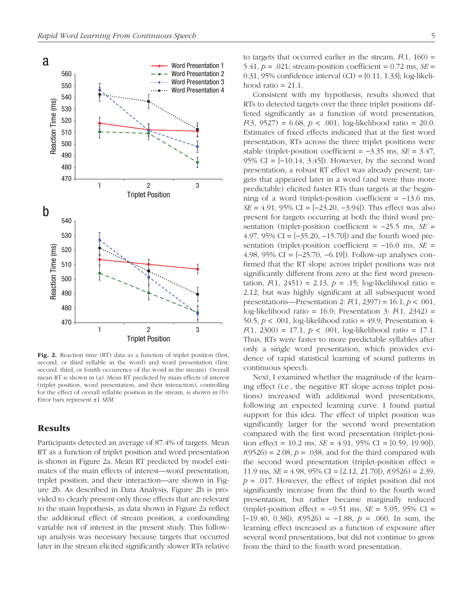

Fig. 2. Reaction time (RT) data as a function of triplet position (first, second, or third syllable in the word) and word presentation (first, second, third, or fourth occurrence of the word in the stream). Overall mean RT is shown in (a). Mean RT predicted by main effects of interest (triplet position, word presentation, and their interaction), controlling for the effect of overall syllable position in the stream, is shown in (b). Error bars represent ±1 *SEM*.

# Results

Participants detected an average of 87.4% of targets. Mean RT as a function of triplet position and word presentation is shown in Figure 2a. Mean RT predicted by model estimates of the main effects of interest—word presentation, triplet position, and their interaction—are shown in Figure 2b. As described in Data Analysis, Figure 2b is provided to clearly present only those effects that are relevant to the main hypothesis, as data shown in Figure 2a reflect the additional effect of stream position, a confounding variable not of interest in the present study. This followup analysis was necessary because targets that occurred later in the stream elicited significantly slower RTs relative to targets that occurred earlier in the stream,  $F(1, 160) =$ 5.41,  $p = .021$ ; stream-position coefficient = 0.72 ms,  $SE =$ 0.31, 95% confidence interval (CI) = [0.11, 1.33]; log-likelihood ratio  $= 21.1$ .

Consistent with my hypothesis, results showed that RTs to detected targets over the three triplet positions differed significantly as a function of word presentation, *F*(3, 9527) = 6.68, *p* < .001; log-likelihood ratio = 20.0. Estimates of fixed effects indicated that at the first word presentation, RTs across the three triplet positions were stable (triplet-position coefficient = −3.35 ms, *SE* = 3.47, 95% CI =  $[-10.14, 3.45]$ . However, by the second word presentation, a robust RT effect was already present; targets that appeared later in a word (and were thus more predictable) elicited faster RTs than targets at the beginning of a word (triplet-position coefficient =  $-13.6$  ms, *SE* = 4.91, 95% CI = [−23.20, −3.94]). This effect was also present for targets occurring at both the third word presentation (triplet-position coefficient = −25.5 ms, *SE* = 4.97, 95% CI = [−35.20, −15.70]) and the fourth word presentation (triplet-position coefficient = −16.0 ms, *SE* = 4.98, 95% CI = [−25.70, −6.19]). Follow-up analyses confirmed that the RT slope across triplet positions was not significantly different from zero at the first word presentation,  $F(1, 2451) = 2.13$ ,  $p = .15$ ; log-likelihood ratio = 2.12, but was highly significant at all subsequent word presentations—Presentation 2: *F*(1, 2397) = 16.1, *p* < .001, log-likelihood ratio = 16.0; Presentation 3: *F*(1, 2342) = 50.5, *p* < .001, log-likelihood ratio = 49.9; Presentation 4: *F*(1, 2300) = 17.1, *p* < .001, log-likelihood ratio = 17.1. Thus, RTs were faster to more predictable syllables after only a single word presentation, which provides evidence of rapid statistical learning of sound patterns in continuous speech.

Next, I examined whether the magnitude of the learning effect (i.e., the negative RT slope across triplet positions) increased with additional word presentations, following an expected learning curve. I found partial support for this idea. The effect of triplet position was significantly larger for the second word presentation compared with the first word presentation (triplet-position effect = 10.2 ms,  $SE = 4.91$ ,  $95\%$  CI = [0.59, 19.90]),  $t(9526) = 2.08$ ,  $p = .038$ , and for the third compared with the second word presentation (triplet-position effect = 11.9 ms, *SE* = 4.98, 95% CI = [2.12, 21.70]), *t*(9526) = 2.39,  $p = .017$ . However, the effect of triplet position did not significantly increase from the third to the fourth word presentation, but rather became marginally reduced (triplet-position effect = −9.51 ms, *SE* = 5.05, 95% CI = [−19.40, 0.38]), *t*(9526) = −1.88, *p* = .060. In sum, the learning effect increased as a function of exposure after several word presentations, but did not continue to grow from the third to the fourth word presentation.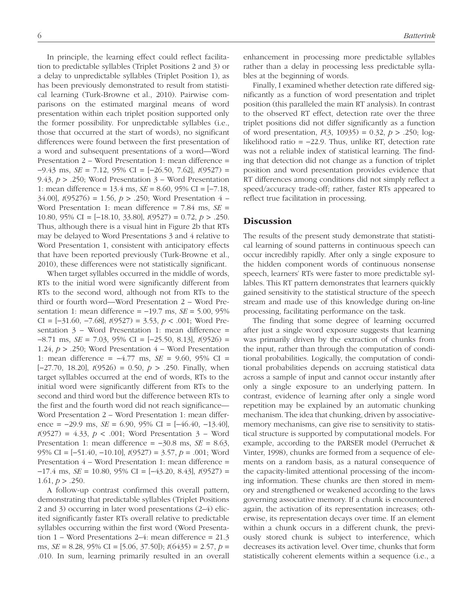In principle, the learning effect could reflect facilitation to predictable syllables (Triplet Positions 2 and 3) or a delay to unpredictable syllables (Triplet Position 1), as has been previously demonstrated to result from statistical learning (Turk-Browne et al., 2010). Pairwise comparisons on the estimated marginal means of word presentation within each triplet position supported only the former possibility. For unpredictable syllables (i.e., those that occurred at the start of words), no significant differences were found between the first presentation of a word and subsequent presentations of a word—Word Presentation 2 – Word Presentation 1: mean difference = −9.43 ms, *SE* = 7.12, 95% CI = [−26.50, 7.62], *t*(9527) = 9.43, *p* > .250; Word Presentation 3 – Word Presentation 1: mean difference = 13.4 ms, *SE* = 8.60, 95% CI = [−7.18, 34.00], *t*(95276) = 1.56, *p* > .250; Word Presentation 4 – Word Presentation 1: mean difference = 7.84 ms, *SE* = 10.80, 95% CI = [−18.10, 33.80], *t*(9527) = 0.72, *p* > .250. Thus, although there is a visual hint in Figure 2b that RTs may be delayed to Word Presentations 3 and 4 relative to Word Presentation 1, consistent with anticipatory effects that have been reported previously (Turk-Browne et al., 2010), these differences were not statistically significant.

When target syllables occurred in the middle of words, RTs to the initial word were significantly different from RTs to the second word, although not from RTs to the third or fourth word—Word Presentation 2 – Word Presentation 1: mean difference = −19.7 ms, *SE* = 5.00, 95% CI = [−31.60, −7.68], *t*(9527) = 3.53, *p* < .001; Word Presentation 3 – Word Presentation 1: mean difference = −8.71 ms, *SE* = 7.03, 95% CI = [−25.50, 8.13], *t*(9526) = 1.24, *p* > .250; Word Presentation 4 – Word Presentation 1: mean difference = −4.77 ms, *SE* = 9.60, 95% CI = [−27.70, 18.20], *t*(9526) = 0.50, *p* > .250. Finally, when target syllables occurred at the end of words, RTs to the initial word were significantly different from RTs to the second and third word but the difference between RTs to the first and the fourth word did not reach significance— Word Presentation 2 – Word Presentation 1: mean difference = −29.9 ms, *SE* = 6.90, 95% CI = [−46.40, −13.40], *t*(9527) = 4.33, *p* < .001; Word Presentation 3 – Word Presentation 1: mean difference = −30.8 ms, *SE* = 8.63, 95% CI = [−51.40, −10.10], *t*(9527) = 3.57, *p* = .001; Word Presentation 4 – Word Presentation 1: mean difference = −17.4 ms, *SE* = 10.80, 95% CI = [−43.20, 8.43], *t*(9527) = 1.61,  $p > .250$ .

A follow-up contrast confirmed this overall pattern, demonstrating that predictable syllables (Triplet Positions 2 and 3) occurring in later word presentations (2–4) elicited significantly faster RTs overall relative to predictable syllables occurring within the first word (Word Presentation 1 – Word Presentations 2–4: mean difference = 21.3 ms, *SE* = 8.28, 95% CI = [5.06, 37.50]); *t*(6435) = 2.57, *p* = .010. In sum, learning primarily resulted in an overall enhancement in processing more predictable syllables rather than a delay in processing less predictable syllables at the beginning of words.

Finally, I examined whether detection rate differed significantly as a function of word presentation and triplet position (this paralleled the main RT analysis). In contrast to the observed RT effect, detection rate over the three triplet positions did not differ significantly as a function of word presentation, *F*(3, 10935) = 0.32, *p* > .250; loglikelihood ratio = −22.9. Thus, unlike RT, detection rate was not a reliable index of statistical learning. The finding that detection did not change as a function of triplet position and word presentation provides evidence that RT differences among conditions did not simply reflect a speed/accuracy trade-off; rather, faster RTs appeared to reflect true facilitation in processing.

# **Discussion**

The results of the present study demonstrate that statistical learning of sound patterns in continuous speech can occur incredibly rapidly. After only a single exposure to the hidden component words of continuous nonsense speech, learners' RTs were faster to more predictable syllables. This RT pattern demonstrates that learners quickly gained sensitivity to the statistical structure of the speech stream and made use of this knowledge during on-line processing, facilitating performance on the task.

The finding that some degree of learning occurred after just a single word exposure suggests that learning was primarily driven by the extraction of chunks from the input, rather than through the computation of conditional probabilities. Logically, the computation of conditional probabilities depends on accruing statistical data across a sample of input and cannot occur instantly after only a single exposure to an underlying pattern. In contrast, evidence of learning after only a single word repetition may be explained by an automatic chunking mechanism. The idea that chunking, driven by associativememory mechanisms, can give rise to sensitivity to statistical structure is supported by computational models. For example, according to the PARSER model (Perruchet & Vinter, 1998), chunks are formed from a sequence of elements on a random basis, as a natural consequence of the capacity-limited attentional processing of the incoming information. These chunks are then stored in memory and strengthened or weakened according to the laws governing associative memory. If a chunk is encountered again, the activation of its representation increases; otherwise, its representation decays over time. If an element within a chunk occurs in a different chunk, the previously stored chunk is subject to interference, which decreases its activation level. Over time, chunks that form statistically coherent elements within a sequence (i.e., a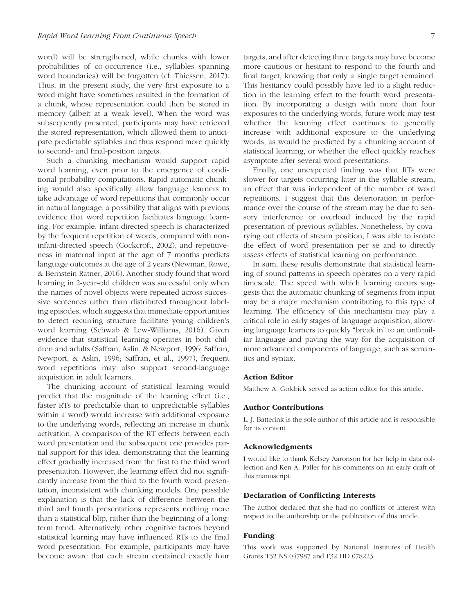word) will be strengthened, while chunks with lower probabilities of co-occurrence (i.e., syllables spanning word boundaries) will be forgotten (cf. Thiessen, 2017). Thus, in the present study, the very first exposure to a word might have sometimes resulted in the formation of a chunk, whose representation could then be stored in memory (albeit at a weak level). When the word was subsequently presented, participants may have retrieved the stored representation, which allowed them to anticipate predictable syllables and thus respond more quickly to second- and final-position targets.

Such a chunking mechanism would support rapid word learning, even prior to the emergence of conditional probability computations. Rapid automatic chunking would also specifically allow language learners to take advantage of word repetitions that commonly occur in natural language, a possibility that aligns with previous evidence that word repetition facilitates language learning. For example, infant-directed speech is characterized by the frequent repetition of words, compared with noninfant-directed speech (Cockcroft, 2002), and repetitiveness in maternal input at the age of 7 months predicts language outcomes at the age of 2 years (Newman, Rowe, & Bernstein Ratner, 2016). Another study found that word learning in 2-year-old children was successful only when the names of novel objects were repeated across successive sentences rather than distributed throughout labeling episodes, which suggests that immediate opportunities to detect recurring structure facilitate young children's word learning (Schwab & Lew-Williams, 2016). Given evidence that statistical learning operates in both children and adults (Saffran, Aslin, & Newport, 1996; Saffran, Newport, & Aslin, 1996; Saffran, et al., 1997), frequent word repetitions may also support second-language acquisition in adult learners.

The chunking account of statistical learning would predict that the magnitude of the learning effect (i.e., faster RTs to predictable than to unpredictable syllables within a word) would increase with additional exposure to the underlying words, reflecting an increase in chunk activation. A comparison of the RT effects between each word presentation and the subsequent one provides partial support for this idea, demonstrating that the learning effect gradually increased from the first to the third word presentation. However, the learning effect did not significantly increase from the third to the fourth word presentation, inconsistent with chunking models. One possible explanation is that the lack of difference between the third and fourth presentations represents nothing more than a statistical blip, rather than the beginning of a longterm trend. Alternatively, other cognitive factors beyond statistical learning may have influenced RTs to the final word presentation. For example, participants may have become aware that each stream contained exactly four targets, and after detecting three targets may have become more cautious or hesitant to respond to the fourth and final target, knowing that only a single target remained. This hesitancy could possibly have led to a slight reduction in the learning effect to the fourth word presentation. By incorporating a design with more than four exposures to the underlying words, future work may test whether the learning effect continues to generally increase with additional exposure to the underlying words, as would be predicted by a chunking account of statistical learning, or whether the effect quickly reaches asymptote after several word presentations.

Finally, one unexpected finding was that RTs were slower for targets occurring later in the syllable stream, an effect that was independent of the number of word repetitions. I suggest that this deterioration in performance over the course of the stream may be due to sensory interference or overload induced by the rapid presentation of previous syllables. Nonetheless, by covarying out effects of stream position, I was able to isolate the effect of word presentation per se and to directly assess effects of statistical learning on performance.

In sum, these results demonstrate that statistical learning of sound patterns in speech operates on a very rapid timescale. The speed with which learning occurs suggests that the automatic chunking of segments from input may be a major mechanism contributing to this type of learning. The efficiency of this mechanism may play a critical role in early stages of language acquisition, allowing language learners to quickly "break in" to an unfamiliar language and paving the way for the acquisition of more advanced components of language, such as semantics and syntax.

# Action Editor

Matthew A. Goldrick served as action editor for this article.

#### Author Contributions

L. J. Batterink is the sole author of this article and is responsible for its content.

#### Acknowledgments

I would like to thank Kelsey Aaronson for her help in data collection and Ken A. Paller for his comments on an early draft of this manuscript.

# Declaration of Conflicting Interests

The author declared that she had no conflicts of interest with respect to the authorship or the publication of this article.

#### Funding

This work was supported by National Institutes of Health Grants T32 NS 047987 and F32 HD 078223.